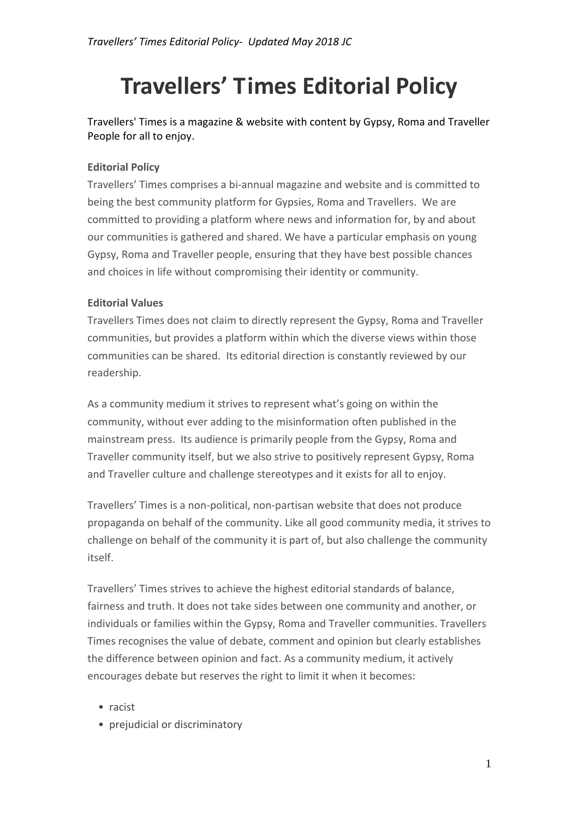# **Travellers' Times Editorial Policy**

Travellers' Times is a magazine & website with content by Gypsy, Roma and Traveller People for all to enjoy.

# **Editorial Policy**

Travellers' Times comprises a bi-annual magazine and website and is committed to being the best community platform for Gypsies, Roma and Travellers. We are committed to providing a platform where news and information for, by and about our communities is gathered and shared. We have a particular emphasis on young Gypsy, Roma and Traveller people, ensuring that they have best possible chances and choices in life without compromising their identity or community.

## **Editorial Values**

Travellers Times does not claim to directly represent the Gypsy, Roma and Traveller communities, but provides a platform within which the diverse views within those communities can be shared. Its editorial direction is constantly reviewed by our readership.

As a community medium it strives to represent what's going on within the community, without ever adding to the misinformation often published in the mainstream press. Its audience is primarily people from the Gypsy, Roma and Traveller community itself, but we also strive to positively represent Gypsy, Roma and Traveller culture and challenge stereotypes and it exists for all to enjoy.

Travellers' Times is a non-political, non-partisan website that does not produce propaganda on behalf of the community. Like all good community media, it strives to challenge on behalf of the community it is part of, but also challenge the community itself.

Travellers' Times strives to achieve the highest editorial standards of balance, fairness and truth. It does not take sides between one community and another, or individuals or families within the Gypsy, Roma and Traveller communities. Travellers Times recognises the value of debate, comment and opinion but clearly establishes the difference between opinion and fact. As a community medium, it actively encourages debate but reserves the right to limit it when it becomes:

- racist
- prejudicial or discriminatory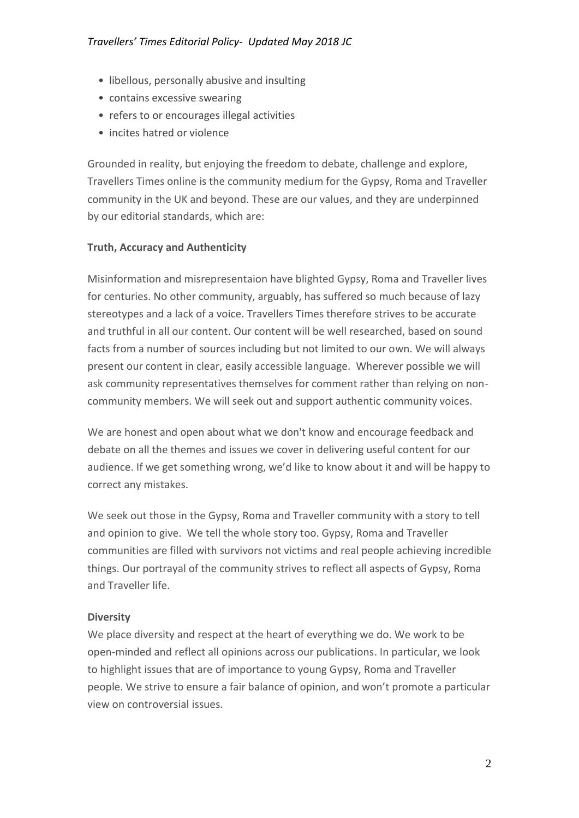## *Travellers' Times Editorial Policy- Updated May 2018 JC*

- libellous, personally abusive and insulting
- contains excessive swearing
- refers to or encourages illegal activities
- incites hatred or violence

Grounded in reality, but enjoying the freedom to debate, challenge and explore, Travellers Times online is the community medium for the Gypsy, Roma and Traveller community in the UK and beyond. These are our values, and they are underpinned by our editorial standards, which are:

# **Truth, Accuracy and Authenticity**

Misinformation and misrepresentaion have blighted Gypsy, Roma and Traveller lives for centuries. No other community, arguably, has suffered so much because of lazy stereotypes and a lack of a voice. Travellers Times therefore strives to be accurate and truthful in all our content. Our content will be well researched, based on sound facts from a number of sources including but not limited to our own. We will always present our content in clear, easily accessible language. Wherever possible we will ask community representatives themselves for comment rather than relying on noncommunity members. We will seek out and support authentic community voices.

We are honest and open about what we don't know and encourage feedback and debate on all the themes and issues we cover in delivering useful content for our audience. If we get something wrong, we'd like to know about it and will be happy to correct any mistakes.

We seek out those in the Gypsy, Roma and Traveller community with a story to tell and opinion to give. We tell the whole story too. Gypsy, Roma and Traveller communities are filled with survivors not victims and real people achieving incredible things. Our portrayal of the community strives to reflect all aspects of Gypsy, Roma and Traveller life.

## **Diversity**

We place diversity and respect at the heart of everything we do. We work to be open-minded and reflect all opinions across our publications. In particular, we look to highlight issues that are of importance to young Gypsy, Roma and Traveller people. We strive to ensure a fair balance of opinion, and won't promote a particular view on controversial issues.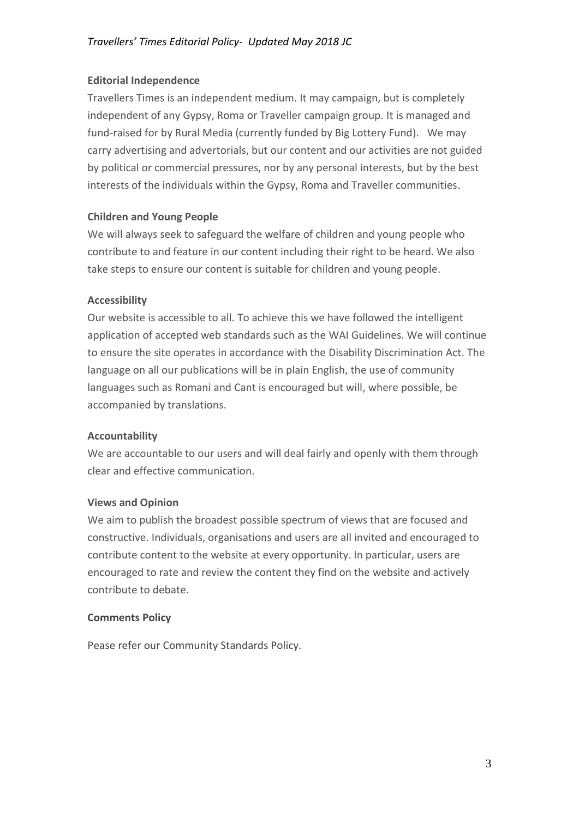## **Editorial Independence**

Travellers Times is an independent medium. It may campaign, but is completely independent of any Gypsy, Roma or Traveller campaign group. It is managed and fund-raised for by Rural Media (currently funded by Big Lottery Fund). We may carry advertising and advertorials, but our content and our activities are not guided by political or commercial pressures, nor by any personal interests, but by the best interests of the individuals within the Gypsy, Roma and Traveller communities.

# **Children and Young People**

We will always seek to safeguard the welfare of children and young people who contribute to and feature in our content including their right to be heard. We also take steps to ensure our content is suitable for children and young people.

## **Accessibility**

Our website is accessible to all. To achieve this we have followed the intelligent application of accepted web standards such as the WAI Guidelines. We will continue to ensure the site operates in accordance with the Disability Discrimination Act. The language on all our publications will be in plain English, the use of community languages such as Romani and Cant is encouraged but will, where possible, be accompanied by translations.

## **Accountability**

We are accountable to our users and will deal fairly and openly with them through clear and effective communication.

## **Views and Opinion**

We aim to publish the broadest possible spectrum of views that are focused and constructive. Individuals, organisations and users are all invited and encouraged to contribute content to the website at every opportunity. In particular, users are encouraged to rate and review the content they find on the website and actively contribute to debate.

#### **Comments Policy**

Pease refer our Community Standards Policy.